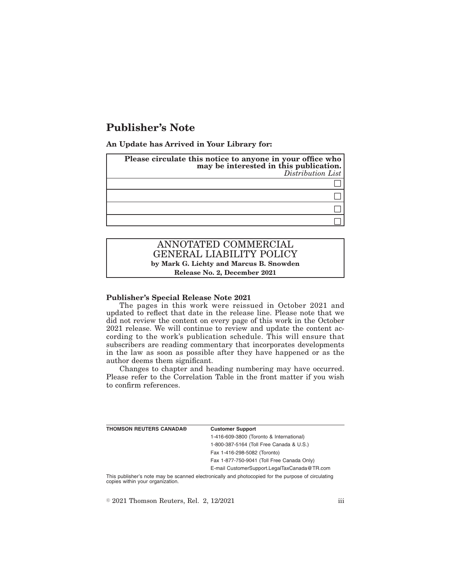# **Publisher's Note**

**An Update has Arrived in Your Library for:**

| Please circulate this notice to anyone in your office who<br>may be interested in this publication.<br>Distribution List |
|--------------------------------------------------------------------------------------------------------------------------|
|                                                                                                                          |
|                                                                                                                          |
|                                                                                                                          |
|                                                                                                                          |

## ANNOTATED COMMERCIAL GENERAL LIABILITY POLICY **by Mark G. Lichty and Marcus B. Snowden Release No. 2, December 2021**

#### **Publisher's Special Release Note 2021**

The pages in this work were reissued in October 2021 and updated to reflect that date in the release line. Please note that we did not review the content on every page of this work in the October 2021 release. We will continue to review and update the content according to the work's publication schedule. This will ensure that subscribers are reading commentary that incorporates developments in the law as soon as possible after they have happened or as the author deems them significant.

Changes to chapter and heading numbering may have occurred. Please refer to the Correlation Table in the front matter if you wish to confirm references.

| <b>THOMSON REUTERS CANADA®</b> | <b>Customer Support</b>                      |
|--------------------------------|----------------------------------------------|
|                                | 1-416-609-3800 (Toronto & International)     |
|                                | 1-800-387-5164 (Toll Free Canada & U.S.)     |
|                                | Fax 1-416-298-5082 (Toronto)                 |
|                                | Fax 1-877-750-9041 (Toll Free Canada Only)   |
|                                | E-mail CustomerSupport.LegalTaxCanada@TR.com |
|                                |                                              |

This publisher's note may be scanned electronically and photocopied for the purpose of circulating copies within your organization.

 $\textdegree$  2021 Thomson Reuters, Rel. 2, 12/2021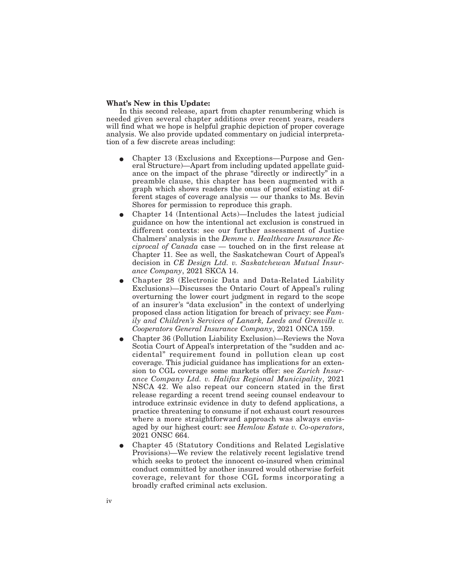#### **What's New in this Update:**

In this second release, apart from chapter renumbering which is needed given several chapter additions over recent years, readers will find what we hope is helpful graphic depiction of proper coverage analysis. We also provide updated commentary on judicial interpretation of a few discrete areas including:

- Chapter 13 (Exclusions and Exceptions—Purpose and General Structure)—Apart from including updated appellate guidance on the impact of the phrase "directly or indirectly" in a preamble clause, this chapter has been augmented with a graph which shows readers the onus of proof existing at different stages of coverage analysis — our thanks to Ms. Bevin Shores for permission to reproduce this graph.
- E Chapter 14 (Intentional Acts)—Includes the latest judicial guidance on how the intentional act exclusion is construed in different contexts: see our further assessment of Justice Chalmers' analysis in the *Demme v. Healthcare Insurance Reciprocal of Canada* case — touched on in the first release at Chapter 11. See as well, the Saskatchewan Court of Appeal's decision in *CE Design Ltd. v. Saskatchewan Mutual Insurance Company*, 2021 SKCA 14.
- E Chapter 28 (Electronic Data and Data-Related Liability Exclusions)—Discusses the Ontario Court of Appeal's ruling overturning the lower court judgment in regard to the scope of an insurer's "data exclusion" in the context of underlying proposed class action litigation for breach of privacy: see *Family and Children's Services of Lanark, Leeds and Grenville v. Cooperators General Insurance Company*, 2021 ONCA 159.
- E Chapter 36 (Pollution Liability Exclusion)—Reviews the Nova Scotia Court of Appeal's interpretation of the "sudden and accidental" requirement found in pollution clean up cost coverage. This judicial guidance has implications for an extension to CGL coverage some markets offer: see *Zurich Insurance Company Ltd. v. Halifax Regional Municipality*, 2021 NSCA 42. We also repeat our concern stated in the first release regarding a recent trend seeing counsel endeavour to introduce extrinsic evidence in duty to defend applications, a practice threatening to consume if not exhaust court resources where a more straightforward approach was always envisaged by our highest court: see *Hemlow Estate v. Co-operators*, 2021 ONSC 664.
- E Chapter 45 (Statutory Conditions and Related Legislative Provisions)—We review the relatively recent legislative trend which seeks to protect the innocent co-insured when criminal conduct committed by another insured would otherwise forfeit coverage, relevant for those CGL forms incorporating a broadly crafted criminal acts exclusion.